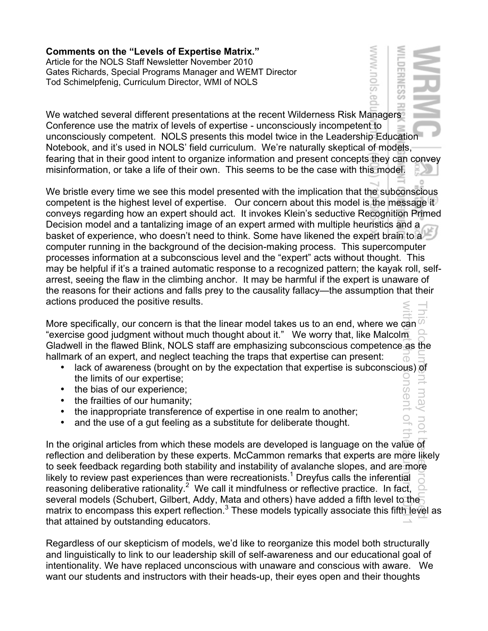**Comments on the "Levels of Expertise Matrix."**  Article for the NOLS Staff Newsletter November 2010 Gates Richards, Special Programs Manager and WEMT Director Tod Schimelpfenig, Curriculum Director, WMI of NOLS

We watched several different presentations at the recent Wilderness Risk Managers Conference use the matrix of levels of expertise - unconsciously incompetent to unconsciously competent. NOLS presents this model twice in the Leadership Education Notebook, and it's used in NOLS' field curriculum. We're naturally skeptical of models, fearing that in their good intent to organize information and present concepts they can convey misinformation, or take a life of their own. This seems to be the case with this model.

WWW.nols

ERNES

**D** 

inari

LOU

We bristle every time we see this model presented with the implication that the subconscious competent is the highest level of expertise. Our concern about this model is the message it conveys regarding how an expert should act. It invokes Klein's seductive Recognition Primed Decision model and a tantalizing image of an expert armed with multiple heuristics and a basket of experience, who doesn't need to think. Some have likened the expert brain to a computer running in the background of the decision-making process. This supercomputer processes information at a subconscious level and the "expert" acts without thought. This may be helpful if it's a trained automatic response to a recognized pattern; the kayak roll, selfarrest, seeing the flaw in the climbing anchor. It may be harmful if the expert is unaware of the reasons for their actions and falls prey to the causality fallacy—the assumption that their actions produced the positive results.

More specifically, our concern is that the linear model takes us to an end, where we can  $\varnothing$ "exercise good judgment without much thought about it." We worry that, like Malcolm Gladwell in the flawed Blink, NOLS staff are emphasizing subconscious competence as the hallmark of an expert, and neglect teaching the traps that expertise can present:  $\overline{\circ}$ 

- lack of awareness (brought on by the expectation that expertise is subconscious) of the limits of our expertise; **DISSPITO**
- the bias of our experience;
- the frailties of our humanity;
- the inappropriate transference of expertise in one realm to another;
- and the use of a gut feeling as a substitute for deliberate thought.

In the original articles from which these models are developed is language on the value of reflection and deliberation by these experts. McCammon remarks that experts are more likely to seek feedback regarding both stability and instability of avalanche slopes, and are more likely to review past experiences than were recreationists.<sup>1</sup> Dreyfus calls the inferential reasoning deliberative rationality.<sup>2</sup> We call it mindfulness or reflective practice. In fact, several models (Schubert, Gilbert, Addy, Mata and others) have added a fifth level to the matrix to encompass this expert reflection.<sup>3</sup> These models typically associate this fifth level as that attained by outstanding educators. This document may not kem individually With the fault also the consent of the Grimal trial the function

Regardless of our skepticism of models, we'd like to reorganize this model both structurally and linguistically to link to our leadership skill of self-awareness and our educational goal of intentionality. We have replaced unconscious with unaware and conscious with aware. We want our students and instructors with their heads-up, their eyes open and their thoughts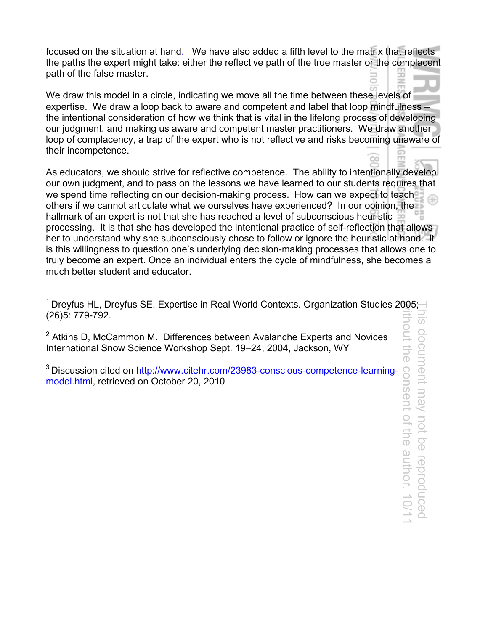focused on the situation at hand. We have also added a fifth level to the matrix that reflects the paths the expert might take: either the reflective path of the true master or the complacent path of the false master.

We draw this model in a circle, indicating we move all the time between these levels of expertise. We draw a loop back to aware and competent and label that loop mindfulness – the intentional consideration of how we think that is vital in the lifelong process of developing our judgment, and making us aware and competent master practitioners. We draw another loop of complacency, a trap of the expert who is not reflective and risks becoming unaware of their incompetence.

As educators, we should strive for reflective competence. The ability to intentionally develop our own judgment, and to pass on the lessons we have learned to our students requires that we spend time reflecting on our decision-making process. How can we expect to teach others if we cannot articulate what we ourselves have experienced? In our opinion, the hallmark of an expert is not that she has reached a level of subconscious heuristic processing. It is that she has developed the intentional practice of self-reflection that allows her to understand why she subconsciously chose to follow or ignore the heuristic at hand. It is this willingness to question one's underlying decision-making processes that allows one to truly become an expert. Once an individual enters the cycle of mindfulness, she becomes a much better student and educator.

<sup>1</sup> Dreyfus HL, Dreyfus SE. Expertise in Real World Contexts. Organization Studies 2005;-(26)5: 779-792.

 $2$  Atkins D, McCammon M. Differences between Avalanche Experts and Novices International Snow Science Workshop Sept. 19–24, 2004, Jackson, WY

<sup>3</sup> Discussion cited on http://www.citehr.com/23983-conscious-competence-learningmodel.html, retrieved on October 20, 2010

without the consent of the author. 10/11This document may not be reproduced  $\frac{1}{5}$ hont document may not be reproduced the consent of the author. 10/1